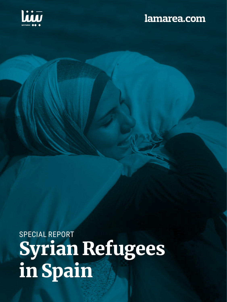

# lamarea.com

SPECIAL REPORT Syrian Refugees in Spain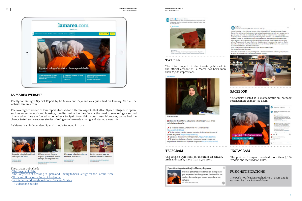**SYRIAN REFUGEES SPECIAL** THE LAYERS OF HATE

## **2 SYRIAN REFUGEES SPECIAL** SYRIAN REFUGEES SPECIAL SYRIAN REFUGEES SPECIAL SYRIAN REFUGEES SPECIAL THE LAYERS OF HATE



#### **LA MAREA WEBSITE**

The Syrian Refugee Special Report by La Marea and Baynana was published on January 28th at the website lamarea.com.

The coverage consisted of four reports focused on different aspects that affect Syrian refugees in Spain, such as access to work and housing, the discrimination they face or the need to seek refuge a second time - when they are forced to come back to Spain from third countries-. Moreover, we<sup>y</sup>ve had the chance to tell some success stories of refugees who made a living and started a new life.

- • [The Layers of Hate](https://www.lamarea.com/2022/01/27/especial-siria-las-capas-del-odio/)
- [The Labyrinth of Arriving in Spain and Having to Seek Refuge for the Second Time.](https://www.lamarea.com/2022/01/27/las-personas-refugiadas-sirias-en-espana-se-ven-obligadas-a-buscar-refugio-de-nuevo/)
- W[ork and Housing, a Loop of Problems.](https://www.lamarea.com/2022/01/27/el-trabajo-y-la-vivienda-un-bucle-de-problemas/)
- [In Kitchens and Neighborhoods: Success Stories](https://www.lamarea.com/2022/01/27/en-las-cocinas-y-en-los-barrios-historias-de-exito/)
- » [Videos on Youtube](https://www.youtube.com/playlist?list=PLuAFrIOXBinE69PkGQQnGAIuizgFyaXId)



The articles were sent on Telegram on January 28th and seen by more than 1,400 users.

#### Especial refugiados sirios | La Marea y Baynana

ia www.lamarea.com



Muchas personas solicitantes de asilo pasan por experiencias denigrantes. Las familias no suelen denunciar por temor a quedarse sin refugio.

 $\times$ 



#### La Marea

Sicado por Ana Velga @ - 29 de enero a las 11:43 - @

Yousef Shuhaiber y Lian al-Ahmad son dos chicos sirios de 26 y 27 años afincados en España. Como miles de jóvenes refugiados, se vieron obligados a abandonar su país para escapar de una<br>querra que ya dura más de una década. Para saluer la vida se arrolaron al mar, pesando por .<br>Furquía y Líbano, hasta llegar a los campos de refugiados de Grecia. Lian trabajó como traductor de árabe e inglés allí, donde conoció a activistas españoles, gracias a los cuales aprendió más<br>sobre la cultura de un país del que -dice- acabó enamorándose. Yousef trabajó durante cinco años en Turquía cosiendo ropa y finalmente decidió oxuzar el mar para probar suerte en Orecia, donde fue reasentado en España a través de Naciones Unidas en 2016. Finalmente, sus caminos se cruzaron en este país, donde se conocieron.

Estos son algunos proyectos de refugiados que dejan huella en España.

Por Moussa Al Jamast (Baynana).

\*Esta serie de reportajes ha sido posible gracias a la colaboración entre La Marea y Baynana, con<br>el apoco de Neus'Spectrum y el International Press Institute. el apoyo de Neusspectrum y el Internatio



La Marea is an independent Spanish media founded in 2012.





PATRICIA SIMO 27 ENERO 3022



El laberinto de llegar a España y tener que buscar refugio por segunda vez MOUSSA & JAMAST (RAYMAN A)



**LAURA CASIFLLES** 

27 ENERO 2022

En las cocinas y en los barrios: historias de éxito

> MOUSSALAIL JAMALAT (SAINMANA) 27 EMBRO 3023

#### The articles published:

#### **TWITTER**

The total impact of the tweets published in the official account of La Marea has been more than 25,000 impressions.

La Marea



Buenas tardes.

Especial de La Marea y Baynana sobre las personas sirias refugiadas en España:

El acceso al trabajo, una barrera. Por Laura Casielles. Wbit.ly/3KOR

₹ En las cocinas y en los barrios: historias de éxito. Por Moussa Al Jamaat (Baynana), https://bit.ly/3oa4kPg

Las capas del odio. Por Patricia Simón. https://bit.ly/3oa4kPg El laberinto de llegar a España y tener que buscar refugio por segunda vez. Por Moussa Al Jamaat (Baynana), https://bit.ly/3s05nf)

#### **FACEBOOK**

The articles posted at La Marea profile on Facebook reached more than 10,300 users.



#### **TELEGRAM**

#### **INSTAGRAM**

The post on Instagram reached more than 3,200 readers and received 166 Likes.

### **PUSH NOTIFICATIONS**

The push notification reached 17.603 users and it was read by the 48.06% of them.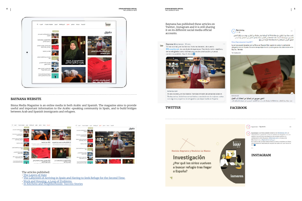**4 1 5 SYRIAN REFUGEES SPECIAL 5 <b>SYRIAN REFUGEES SPECIAL 5 PECIAL 5 PECIAL 5 1 HE LAYERS OF HATE** 

**SYRIAN REFUGEES SPECIAL** THE LAYERS OF HATE



## it on its different social media official accounts. Baynona Bbaynonoca 20 cnc. late 'En las cocinas y en los barrios: historias de éxito', de nuestro **BM** month minal, es una dosis de esperanza. Cambia la visión negativa y de los refugiedos como victimas por una de construcción y nuevos comienzos posibles. Aquí lo tienes Blazer.

de globos al anochecer.

Baynana has published these articles on Twitter, Instagram and it is still sharing

lamaras.com En las cocinas y en los barrios: historias de éxito de personas sirias re-Restaurantes, iniciativos comunitarios y asociaciones de mujeres: estas son algunos proyectos de refugiados que dejan huella en España.

Revista Baynana y Revistas La Marea

## Investigación

¿Por qué los sirios vuelven a buscar refugio tras llegar a España?

 $\bigodot$  Baynana Ulu

قامت محلة بيننا بالتعاون مع محلة Marea الإسبانية بنشر سلسلة من التقارير، بهدف سرد واقع اللاحثين السوريين في إسبانيا. أصبحت هذه السلسلة من النقارير ممكنة بفضل التعاون بين المجلتين، ويدعم من المعهد الدولي للصحافة و NewsSpectrum لقراءة المزيد []

#### https://baynana.es/archives/4477

La semana pasada lanzamos con La Marea un "Especial Siria", queriendo contar la realidad de refugiados siros en España. Esta serie de reportajes ha sido posible gracias a la colaboración entre Baynan... Ver más

Ver traducción



الاجلون سوريون فن إسبانيا: من المعاناة إلى القجاح تنشر مجلة بيننا بالتعاون مع Mares مناسلة تقاربو عن حياة اللاجئين السوريين في اسبانيا بأضوائها وطل

#### **BAYNANA WEBSITE**

Binna Media Magazine is an online media in both Arabic and Spanish. The magazine aims to provide useful and important information to the Arabic-speaking community in Spain, and to build bridges between Arab and Spanish immigrants and refugees.



### **TWITTER FACEBOOK**



(=) bayranaas · Siguiendo



Especial Siria', queriendo contar la realidad de relugiados s España. Esta sene de reportajes ha sido posible pracias a la colaboración entre Esynana y @lamarea, com y al apoyo de NewsSpectrum y @globaltreemedia.pri .<br>En nuestra web ya están disponibles los textos completos en árabe. Ahora lanzamos resúmenes en español de cada uno. Lee más en la hin **Ell** 

baumanaes La sernana pasada langamos con Blamares, com un



**INSTAGRAM**

#### The articles published:

- [The Layers of Hate](https://baynana.es/%d8%b7%d8%a8%d9%82%d8%a7%d8%aa-%d9%85%d9%86-%d8%a7%d9%84%d9%83%d8%b1%d8%a7%d9%87%d9%8a%d8%a9/)
- [The Labyrinth of Arriving in Spain and Having to Seek Refuge for the Second Time.](https://baynana.es/%d9%85%d8%aa%d8%a7%d9%87%d8%a9-%d8%a7%d9%84%d9%88%d8%b5%d9%88%d9%84-%d8%a5%d9%84%d9%89-%d8%a5%d8%b3%d8%a8%d8%a7%d9%86%d9%8a%d8%a7/)
- W[ork and Housing, a Loop of Problems.](https://baynana.es/%d9%84%d8%a7%d8%ac%d8%a6%d9%88%d9%86-%d8%b3%d9%88%d8%b1%d9%8a%d9%88%d9%86-%d9%81%d9%8a-%d8%a5%d8%b3%d8%a8%d8%a7%d9%86%d9%8a%d8%a7-%d9%85%d9%86-%d8%a7%d9%84%d9%85%d8%b9%d8%a7%d9%86%d8%a7%d8%a9-%d8%a5/)
- [In Kitchens and Neighborhoods: Success Stories](https://baynana.es/%d9%85%d9%86-%d8%a7%d9%84%d9%85%d8%b7%d8%a7%d8%a8%d8%ae-%d9%88%d8%a7%d9%84%d8%a3%d8%ad%d9%8a%d8%a7%d8%a1-%d9%82%d8%b5%d8%b5-%d9%86%d8%ac%d8%a7%d8%ad-%d8%a7%d9%84%d8%b3%d9%88%d8%b1%d9%8a%d9%8a%d9%86/)